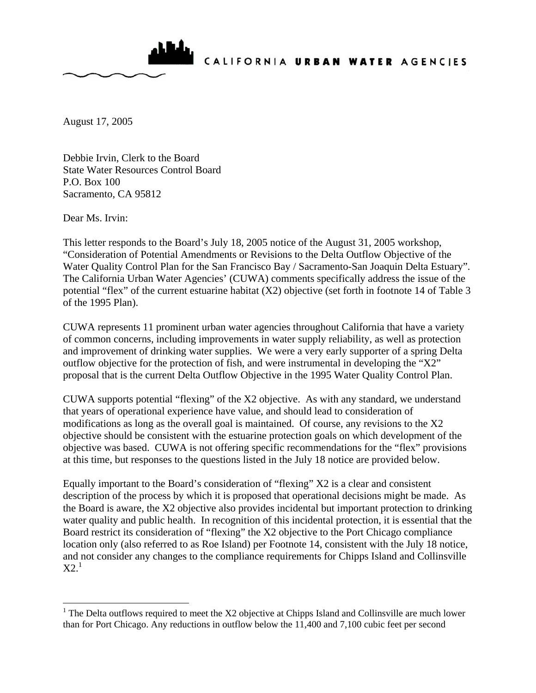

CALIFORNIA URBAN WATER AGENCIES

August 17, 2005

Debbie Irvin, Clerk to the Board State Water Resources Control Board P.O. Box 100 Sacramento, CA 95812

Dear Ms. Irvin:

This letter responds to the Board's July 18, 2005 notice of the August 31, 2005 workshop, "Consideration of Potential Amendments or Revisions to the Delta Outflow Objective of the Water Quality Control Plan for the San Francisco Bay / Sacramento-San Joaquin Delta Estuary". The California Urban Water Agencies' (CUWA) comments specifically address the issue of the potential "flex" of the current estuarine habitat (X2) objective (set forth in footnote 14 of Table 3 of the 1995 Plan).

CUWA represents 11 prominent urban water agencies throughout California that have a variety of common concerns, including improvements in water supply reliability, as well as protection and improvement of drinking water supplies. We were a very early supporter of a spring Delta outflow objective for the protection of fish, and were instrumental in developing the " $X2$ " proposal that is the current Delta Outflow Objective in the 1995 Water Quality Control Plan.

CUWA supports potential "flexing" of the X2 objective. As with any standard, we understand that years of operational experience have value, and should lead to consideration of modifications as long as the overall goal is maintained. Of course, any revisions to the X2 objective should be consistent with the estuarine protection goals on which development of the objective was based. CUWA is not offering specific recommendations for the "flex" provisions at this time, but responses to the questions listed in the July 18 notice are provided below.

Equally important to the Board's consideration of "flexing" X2 is a clear and consistent description of the process by which it is proposed that operational decisions might be made. As the Board is aware, the X2 objective also provides incidental but important protection to drinking water quality and public health. In recognition of this incidental protection, it is essential that the Board restrict its consideration of "flexing" the X2 objective to the Port Chicago compliance location only (also referred to as Roe Island) per Footnote 14, consistent with the July 18 notice, and not consider any changes to the compliance requirements for Chipps Island and Collinsville  $X2<sup>1</sup>$ 

<sup>&</sup>lt;sup>1</sup> The Delta outflows required to meet the X2 objective at Chipps Island and Collinsville are much lower than for Port Chicago. Any reductions in outflow below the 11,400 and 7,100 cubic feet per second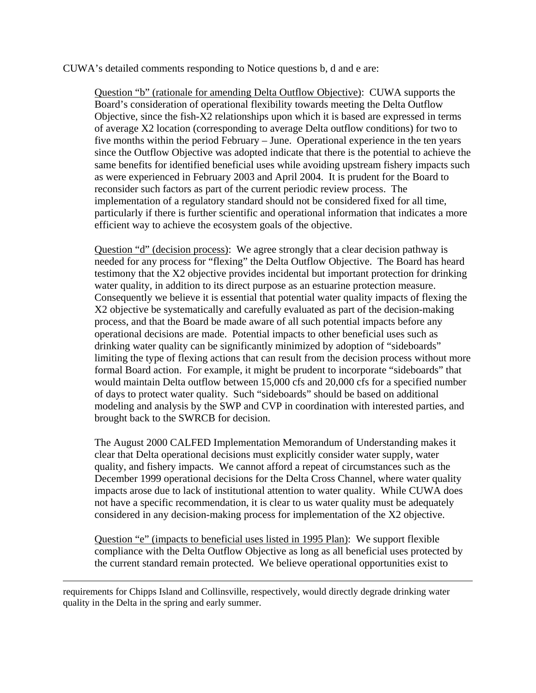## CUWA's detailed comments responding to Notice questions b, d and e are:

Question "b" (rationale for amending Delta Outflow Objective): CUWA supports the Board's consideration of operational flexibility towards meeting the Delta Outflow Objective, since the fish-X2 relationships upon which it is based are expressed in terms of average X2 location (corresponding to average Delta outflow conditions) for two to five months within the period February – June. Operational experience in the ten years since the Outflow Objective was adopted indicate that there is the potential to achieve the same benefits for identified beneficial uses while avoiding upstream fishery impacts such as were experienced in February 2003 and April 2004. It is prudent for the Board to reconsider such factors as part of the current periodic review process. The implementation of a regulatory standard should not be considered fixed for all time, particularly if there is further scientific and operational information that indicates a more efficient way to achieve the ecosystem goals of the objective.

Question "d" (decision process): We agree strongly that a clear decision pathway is needed for any process for "flexing" the Delta Outflow Objective. The Board has heard testimony that the X2 objective provides incidental but important protection for drinking water quality, in addition to its direct purpose as an estuarine protection measure. Consequently we believe it is essential that potential water quality impacts of flexing the X2 objective be systematically and carefully evaluated as part of the decision-making process, and that the Board be made aware of all such potential impacts before any operational decisions are made. Potential impacts to other beneficial uses such as drinking water quality can be significantly minimized by adoption of "sideboards" limiting the type of flexing actions that can result from the decision process without more formal Board action. For example, it might be prudent to incorporate "sideboards" that would maintain Delta outflow between 15,000 cfs and 20,000 cfs for a specified number of days to protect water quality. Such "sideboards" should be based on additional modeling and analysis by the SWP and CVP in coordination with interested parties, and brought back to the SWRCB for decision.

The August 2000 CALFED Implementation Memorandum of Understanding makes it clear that Delta operational decisions must explicitly consider water supply, water quality, and fishery impacts. We cannot afford a repeat of circumstances such as the December 1999 operational decisions for the Delta Cross Channel, where water quality impacts arose due to lack of institutional attention to water quality. While CUWA does not have a specific recommendation, it is clear to us water quality must be adequately considered in any decision-making process for implementation of the X2 objective.

Question "e" (impacts to beneficial uses listed in 1995 Plan): We support flexible compliance with the Delta Outflow Objective as long as all beneficial uses protected by the current standard remain protected. We believe operational opportunities exist to

requirements for Chipps Island and Collinsville, respectively, would directly degrade drinking water quality in the Delta in the spring and early summer.

 $\overline{a}$